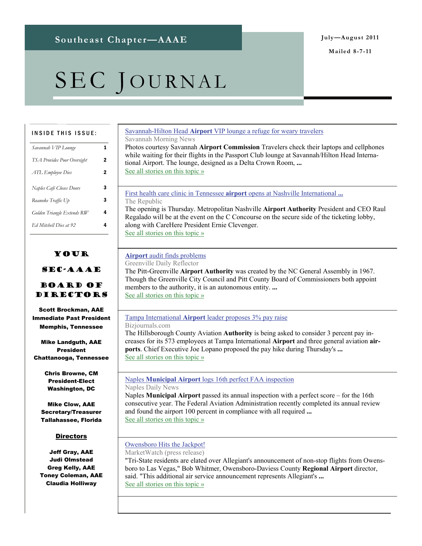**Mailed 8-7-11** 

# SEC JOURNAL

#### INSIDE THIS ISSUE:

| Savannah VIP Lounge<br>1<br><b>TSA Provides Poor Oversight</b><br>2<br>2<br>ATL Employee Dies<br>Naples Café Closes Doors<br>3<br>3<br>Roanoke Traffic Up |
|-----------------------------------------------------------------------------------------------------------------------------------------------------------|
|                                                                                                                                                           |
|                                                                                                                                                           |
|                                                                                                                                                           |
|                                                                                                                                                           |
|                                                                                                                                                           |
| 4<br>Golden Triangle Extends RW                                                                                                                           |
| 4<br>Ed Mitchell Dies at 92                                                                                                                               |

### Your

#### SEC-AAAE

#### Board of Directors

Scott Brockman, AAE Immediate Past President Memphis, Tennessee

Mike Landguth, AAE President Chattanooga, Tennessee

> Chris Browne, CM President-Elect Washington, DC

Mike Clow, AAE Secretary/Treasurer Tallahassee, Florida

#### **Directors**

Jeff Gray, AAE Judi Olmstead Greg Kelly, AAE Toney Coleman, AAE Claudia Holliway

#### Savannah-Hilton Head **Airport** [VIP lounge a refuge for weary travelers](http://www.google.com/url?sa=X&q=http://savannahnow.com/exchange/2011-08-03/savannah-hilton-head-airport-vip-lounge-refuge-weary-travelers&ct=ga&cad=CAEQAhgAIAAoATAAOABAm6Tp8QRIAVAAWABiAmVu&cd=MFgxILOOBQ0&usg=AFQjCNH_HnNvfO3T0YkQfuvDTfGIq5pmcg)

Savannah Morning News Photos courtesy Savannah **Airport Commission** Travelers check their laptops and cellphones while waiting for their flights in the Passport Club lounge at Savannah/Hilton Head International Airport. The lounge, designed as a Delta Crown Room, **...** [See all stories on this topic »](http://www.google.com/url?sa=X&q=http://news.google.com/news/story%3Fncl%3Dhttp://savannahnow.com/exchange/2011-08-03/savannah-hilton-head-airport-vip-lounge-refuge-weary-travelers%26hl%3Den%26geo%3Dus&ct=ga&cad=CAEQAhgAIAAoBjAAOABAm6Tp8QRIAVAAWABiAmVu&cd=MFgxILOOBQ0&usg=AFQjCNFlN6XVfzx60AOXZr7Sl3OmPa9zVg)

[First health care clinic in Tennessee](http://www.google.com/url?sa=X&q=http://www.therepublic.com/view/story/c880d2240a00446d9b6596725e64032b/TN--Airport-Clinic/&ct=ga&cad=CAEQARgAIAAoATACOAJA3Obq8QRIAVAAWABiAmVu&cd=kKz1K3lElVE&usg=AFQjCNHuupqkQwHiPb_GlCrgnLwi6lXDZg) **airport** opens at Nashville International **...** The Republic

The opening is Thursday. Metropolitan Nashville **Airport Authority** President and CEO Raul Regalado will be at the event on the C Concourse on the secure side of the ticketing lobby, along with CareHere President Ernie Clevenger. [See all stories on this topic »](http://www.google.com/url?sa=X&q=http://news.google.com/news/story%3Fncl%3Dhttp://www.therepublic.com/view/story/c880d2240a00446d9b6596725e64032b/TN--Airport-Clinic/%26hl%3Den%26geo%3Dus&ct=ga&cad=CAEQARgAIAAoBjACOAJA3Obq8QRIAVAAWABiAmVu&cd=kKz1K3lElVE&usg=AFQjCNEbj6yfq3ANTNovdElGFcAevdqZPg)

#### **Airport** [audit finds problems](http://www.google.com/url?sa=X&q=http://www.reflector.com/news/airport-audit-finds-problems-604297&ct=ga&cad=CAEQARgAIAAoATABOAFAu7Pr8QRIAVAAWABiAmVu&cd=YpCfDlVUypI&usg=AFQjCNE3AkfTHW8B2LIUKZUrSs5iC4xlLQ)

Greenville Daily Reflector

The Pitt-Greenville **Airport Authority** was created by the NC General Assembly in 1967. Though the Greenville City Council and Pitt County Board of Commissioners both appoint members to the authority, it is an autonomous entity. **...** [See all stories on this topic »](http://www.google.com/url?sa=X&q=http://news.google.com/news/story%3Fncl%3Dhttp://www.reflector.com/news/airport-audit-finds-problems-604297%26hl%3Den%26geo%3Dus&ct=ga&cad=CAEQARgAIAAoBjABOAFAu7Pr8QRIAVAAWABiAmVu&cd=YpCfDlVUypI&usg=AFQjCNEOrVgyVxHqYmZzRccs3AxNvKi_tg)

#### Tampa International **Airport** [leader proposes 3% pay raise](http://www.google.com/url?sa=X&q=http://www.bizjournals.com/tampabay/news/2011/08/04/tampa-international-airport-leader.html&ct=ga&cad=CAEQARgAIAAoATABOAFAu_br8QRIAVAAWABiAmVu&cd=spivSHvOOvI&usg=AFQjCNFn73PkVzoEK36A3t1ltyWg3ZRcTg)

Bizjournals.com

The Hillsborough County Aviation **Authority** is being asked to consider 3 percent pay increases for its 573 employees at Tampa International **Airport** and three general aviation **airports**. Chief Executive Joe Lopano proposed the pay hike during Thursday's **...** [See all stories on this topic »](http://www.google.com/url?sa=X&q=http://news.google.com/news/story%3Fncl%3Dhttp://www.bizjournals.com/tampabay/news/2011/08/04/tampa-international-airport-leader.html%26hl%3Den%26geo%3Dus&ct=ga&cad=CAEQARgAIAAoBjABOAFAu_br8QRIAVAAWABiAmVu&cd=spivSHvOOvI&usg=AFQjCNFc-SptSOvd9zB9UIvb-chw0gbiTQ)

#### Naples **Municipal Airport** [logs 16th perfect FAA inspection](http://www.google.com/url?sa=X&q=http://www.naplesnews.com/news/2011/aug/03/naples-municipal-airport-logs-16th-perfect-faa-ins/&ct=ga&cad=CAEQARgAIAAoATAAOABA3N7m8QRIAVAAWABiAmVu&cd=86YSk09afXk&usg=AFQjCNEs1TShvRLS9fibz0Cgg3Hscw754w)

Naples Daily News

Naples **Municipal Airport** passed its annual inspection with a perfect score – for the 16th consecutive year. The Federal Aviation Administration recently completed its annual review and found the airport 100 percent in compliance with all required **...** [See all stories on this topic »](http://www.google.com/url?sa=X&q=http://news.google.com/news/story%3Fncl%3Dhttp://www.naplesnews.com/news/2011/aug/03/naples-municipal-airport-logs-16th-perfect-faa-ins/%26hl%3Den%26geo%3Dus&ct=ga&cad=CAEQARgAIAAoBjAAOABA3N7m8QRIAVAAWABiAmVu&cd=86YSk09afXk&usg=AFQjCNFhMpqiKfmVm4AX3IOzlmKrQw6Uwg)

#### [Owensboro Hits the Jackpot!](http://www.google.com/url?sa=X&q=http://www.marketwatch.com/story/owensboro-hits-the-jackpot-2011-08-04%3Freflink%3DMW_news_stmp&ct=ga&cad=CAEQARgAIAAoATAAOABAtp7r8QRIAVAAWABiAmVu&cd=ckcW-NcgMl4&usg=AFQjCNGL4RoHE8glts2AiD8WHPNGPFusBQ)

MarketWatch (press release) "Tri-State residents are elated over Allegiant's announcement of non-stop flights from Owensboro to Las Vegas," Bob Whitmer, Owensboro-Daviess County **Regional Airport** director, said. "This additional air service announcement represents Allegiant's **...** [See all stories on this topic »](http://www.google.com/url?sa=X&q=http://news.google.com/news/story%3Fncl%3Dhttp://www.marketwatch.com/story/owensboro-hits-the-jackpot-2011-08-04%253Freflink%253DMW_news_stmp%26hl%3Den%26geo%3Dus&ct=ga&cad=CAEQARgAIAAoBjAAOABAtp7r8QRIAVAAWABiAmVu&cd=ckcW-NcgMl4&usg=AFQjCNEcGXX28-WIS5IMHaNWkmrIbY2J8g)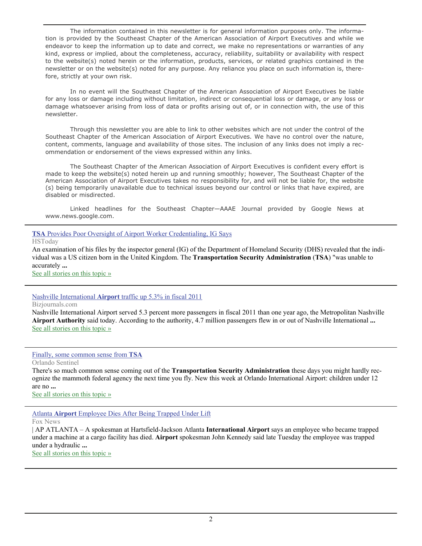The information contained in this newsletter is for general information purposes only. The information is provided by the Southeast Chapter of the American Association of Airport Executives and while we endeavor to keep the information up to date and correct, we make no representations or warranties of any kind, express or implied, about the completeness, accuracy, reliability, suitability or availability with respect to the website(s) noted herein or the information, products, services, or related graphics contained in the newsletter or on the website(s) noted for any purpose. Any reliance you place on such information is, therefore, strictly at your own risk.

 In no event will the Southeast Chapter of the American Association of Airport Executives be liable for any loss or damage including without limitation, indirect or consequential loss or damage, or any loss or damage whatsoever arising from loss of data or profits arising out of, or in connection with, the use of this newsletter.

 Through this newsletter you are able to link to other websites which are not under the control of the Southeast Chapter of the American Association of Airport Executives. We have no control over the nature, content, comments, language and availability of those sites. The inclusion of any links does not imply a recommendation or endorsement of the views expressed within any links.

 The Southeast Chapter of the American Association of Airport Executives is confident every effort is made to keep the website(s) noted herein up and running smoothly; however, The Southeast Chapter of the American Association of Airport Executives takes no responsibility for, and will not be liable for, the website (s) being temporarily unavailable due to technical issues beyond our control or links that have expired, are disabled or misdirected.

 Linked headlines for the Southeast Chapter—AAAE Journal provided by Google News at www.news.google.com.

**TSA** [Provides Poor Oversight of Airport Worker Credentialing, IG Says](http://www.google.com/url?sa=X&q=http://www.hstoday.us/briefings/today-s-news-analysis/single-article/tsa-provides-poor-oversight-of-airport-worker-credentialing-ig-says/6f0ca9cabc213a9d319f1c453992c2bf.html&ct=ga&cad=CAEQARgAIAAoATAAOABAyo_q8QRIAVAAWABiAmVu&cd=fnvJURQzTmw&usg=AFQjCNG10rvbzyD8E7WHYAM3CnuJSm5cpQ)

HSToday

An examination of his files by the inspector general (IG) of the Department of Homeland Security (DHS) revealed that the individual was a US citizen born in the United Kingdom. The **Transportation Security Administration** (**TSA**) "was unable to accurately **...**

[See all stories on this topic »](http://www.google.com/url?sa=X&q=http://news.google.com/news/story%3Fncl%3Dhttp://www.hstoday.us/briefings/today-s-news-analysis/single-article/tsa-provides-poor-oversight-of-airport-worker-credentialing-ig-says/6f0ca9cabc213a9d319f1c453992c2bf.html%26hl%3Den%26geo%3Dus&ct=ga&cad=CAEQARgAIAAoBjAAOABAyo_q8QRIAVAAWABiAmVu&cd=fnvJURQzTmw&usg=AFQjCNETjqjw5tIKT6tlXhoD4bYig-H_SQ)

Nashville International **Airport** [traffic up 5.3% in fiscal 2011](http://www.google.com/url?sa=X&q=http://www.bizjournals.com/nashville/news/2011/08/02/nashville-international-airport.html&ct=ga&cad=CAEQARgAIAAoATAAOABAps3h8QRIAVAAWABiAmVu&cd=COUz2SjMGMI&usg=AFQjCNE-ugIO-w4Ha-GBjyFnAAfFuFEpaQ)

Bizjournals.com

Nashville International Airport served 5.3 percent more passengers in fiscal 2011 than one year ago, the Metropolitan Nashville **Airport Authority** said today. According to the authority, 4.7 million passengers flew in or out of Nashville International **...** [See all stories on this topic »](http://www.google.com/url?sa=X&q=http://news.google.com/news/story%3Fncl%3Dhttp://www.bizjournals.com/nashville/news/2011/08/02/nashville-international-airport.html%26hl%3Den%26geo%3Dus&ct=ga&cad=CAEQARgAIAAoBjAAOABAps3h8QRIAVAAWABiAmVu&cd=COUz2SjMGMI&usg=AFQjCNG5sgwWnkpMw1ZC0yeV1GnP2UH84A)

[Finally, some common sense from](http://www.google.com/url?sa=X&q=http://www.orlandosentinel.com/business/columnists/os-kassab-tsa-orlando-changes-20110802,0,4235726.column&ct=ga&cad=CAEQARgAIAAoATAAOABA0O7i8QRIAVAAWABiAmVu&cd=a-Bjd0ccHi4&usg=AFQjCNHjotpAxV4nNJseBXlb6g4Oz98oFA) **TSA**

Orlando Sentinel

There's so much common sense coming out of the **Transportation Security Administration** these days you might hardly recognize the mammoth federal agency the next time you fly. New this week at Orlando International Airport: children under 12 are no **...**

[See all stories on this topic »](http://www.google.com/url?sa=X&q=http://news.google.com/news/story%3Fncl%3Dhttp://www.orlandosentinel.com/business/columnists/os-kassab-tsa-orlando-changes-20110802,0,4235726.column%26hl%3Den%26geo%3Dus&ct=ga&cad=CAEQARgAIAAoBjAAOABA0O7i8QRIAVAAWABiAmVu&cd=a-Bjd0ccHi4&usg=AFQjCNEo6OgB3SeMarHu13HrDVR1XtIQuA)

Atlanta **Airport** [Employee Dies After Being Trapped Under Lift](http://www.google.com/url?sa=X&q=http://www.foxnews.com/us/2011/08/02/atlanta-airport-employee-dies-after-being-trapped-under-lift/&ct=ga&cad=CAEQARgAIAAoATABOAFA0fvi8QRIAVAAWABiAmVu&cd=0CactAzgHbc&usg=AFQjCNG0EJW9QqjQ_WJ6fQM4X9b_bvIR7w)

Fox News

| AP ATLANTA – A spokesman at Hartsfield-Jackson Atlanta **International Airport** says an employee who became trapped under a machine at a cargo facility has died. **Airport** spokesman John Kennedy said late Tuesday the employee was trapped under a hydraulic **...**

[See all stories on this topic »](http://www.google.com/url?sa=X&q=http://news.google.com/news/story%3Fncl%3Dhttp://www.foxnews.com/us/2011/08/02/atlanta-airport-employee-dies-after-being-trapped-under-lift/%26hl%3Den%26geo%3Dus&ct=ga&cad=CAEQARgAIAAoBjABOAFA0fvi8QRIAVAAWABiAmVu&cd=0CactAzgHbc&usg=AFQjCNEO2FWTfbevGeP3CS83LAh0l7H9mA)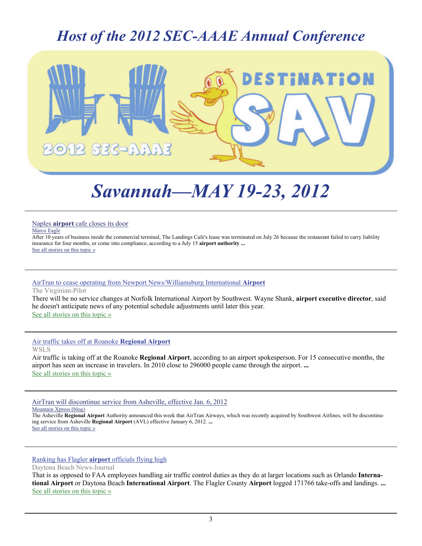### *Host of the 2012 SEC-AAAE Annual Conference*



# *Savannah—MAY 19-23, 2012*

Naples **airport** [cafe closes its door](http://www.google.com/url?sa=X&q=http://www.marconews.com/news/2011/jul/29/naples-airport-cafe-closes-its-door/&ct=ga&cad=CAEQARgAIAAoATAAOABAkp3M8QRIAVAAWABiAmVu&cd=fgzEob0kR4c&usg=AFQjCNFqX7_uwC6uyFr4AbJUws54qWfo_A) Marco Eagle

After 10 years of business inside the commercial terminal, The Landings Cafe's lease was terminated on July 26 because the restaurant failed to carry liability insurance for four months, or come into compliance, according to a July 15 **airport authority ...** [See all stories on this topic »](http://www.google.com/url?sa=X&q=http://news.google.com/news/story%3Fncl%3Dhttp://www.marconews.com/news/2011/jul/29/naples-airport-cafe-closes-its-door/%26hl%3Den%26geo%3Dus&ct=ga&cad=CAEQARgAIAAoBjAAOABAkp3M8QRIAVAAWABiAmVu&cd=fgzEob0kR4c&usg=AFQjCNHtSxBah1NQPTDb2oimN3uCwylSXg)

#### [AirTran to cease operating from Newport News/Williamsburg International](http://www.google.com/url?sa=X&q=http://hamptonroads.com/2011/08/airtran-cease-operating-newport-newswilliamsburg-international-airport&ct=ga&cad=CAEQAhgAIAAoATABOAFAhK_b8QRIAVAAWABiAmVu&cd=sqz2a3fTd0o&usg=AFQjCNGlMik2lAOhY-NHyc-nGN_LwvnLUw) **Airport**

The Virginian-Pilot

There will be no service changes at Norfolk International Airport by Southwest. Wayne Shank, **airport executive director**, said he doesn't anticipate news of any potential schedule adjustments until later this year. [See all stories on this topic »](http://www.google.com/url?sa=X&q=http://news.google.com/news/story%3Fncl%3Dhttp://hamptonroads.com/2011/08/airtran-cease-operating-newport-newswilliamsburg-international-airport%26hl%3Den%26geo%3Dus&ct=ga&cad=CAEQAhgAIAAoBjABOAFAhK_b8QRIAVAAWABiAmVu&cd=sqz2a3fTd0o&usg=AFQjCNEKk2RQ917esE8cEEgPc-96hqCOvw)

[Air traffic takes off at Roanoke](http://www.google.com/url?sa=X&q=http://www2.wsls.com/news/2011/jul/29/air-traffic-takes-roanoke-regional-airport-ar-1206269/&ct=ga&cad=CAEQARgAIAAoATAAOABAoJbN8QRIAVAAWABiAmVu&cd=2Ix0qVISymc&usg=AFQjCNFG3sFqKljVjOf8efXw_PnAm_2wLQ) **Regional Airport** WSLS

Air traffic is taking off at the Roanoke **Regional Airport**, according to an airport spokesperson. For 15 consecutive months, the airport has seen an increase in travelers. In 2010 close to 296000 people came through the airport. **...** [See all stories on this topic »](http://www.google.com/url?sa=X&q=http://news.google.com/news/story%3Fncl%3Dhttp://www2.wsls.com/news/2011/jul/29/air-traffic-takes-roanoke-regional-airport-ar-1206269/%26hl%3Den%26geo%3Dus&ct=ga&cad=CAEQARgAIAAoBjAAOABAoJbN8QRIAVAAWABiAmVu&cd=2Ix0qVISymc&usg=AFQjCNFJi3bx0gjPoQ5dD1IPEVQTDy6oQw)

[AirTran will discontinue service from Asheville, effective Jan. 6, 2012](http://www.google.com/url?sa=X&q=http://www.mountainx.com/blogwire/2011/airtran_will_discontinue_service_from_asheville_effective_jan._6_20121&ct=ga&cad=CAEQARgAIAAoATABOAFApODc8QRIAVAAWABiAmVu&cd=jgl-th6-Iho&usg=AFQjCNG4yzmLnyFyri1Y-_w0h-QLwlQFkQ) Mountain Xpress (blog)

The Asheville **Regional Airport** Authority announced this week that AirTran Airways, which was recently acquired by Southwest Airlines, will be discontinuing service from Asheville **Regional Airport** (AVL) effective January 6, 2012. **...** [See all stories on this topic »](http://www.google.com/url?sa=X&q=http://news.google.com/news/story%3Fncl%3Dhttp://www.mountainx.com/blogwire/2011/airtran_will_discontinue_service_from_asheville_effective_jan._6_20121%26hl%3Den%26geo%3Dus&ct=ga&cad=CAEQARgAIAAoBjABOAFApODc8QRIAVAAWABiAmVu&cd=jgl-th6-Iho&usg=AFQjCNGQLQILdgD4CZoWP-YcQnvP1pqRiA)

#### [Ranking has Flagler](http://www.google.com/url?sa=X&q=http://www.news-journalonline.com/news/local/flagler/2011/08/02/ranking-has-flagler-airport-officials-flying-high.html&ct=ga&cad=CAEQARgAIAAoATAAOABAvsbe8QRIAVAAWABiAmVu&cd=s8EyOnqDaa8&usg=AFQjCNEQxpu8RwSvKLWqlNmlqMF-vCNKJQ) **airport** officials flying high

Daytona Beach News-Journal

That is as opposed to FAA employees handling air traffic control duties as they do at larger locations such as Orlando **International Airport** or Daytona Beach **International Airport**. The Flagler County **Airport** logged 171766 take-offs and landings. **...** [See all stories on this topic »](http://www.google.com/url?sa=X&q=http://news.google.com/news/story%3Fncl%3Dhttp://www.news-journalonline.com/news/local/flagler/2011/08/02/ranking-has-flagler-airport-officials-flying-high.html%26hl%3Den%26geo%3Dus&ct=ga&cad=CAEQARgAIAAoBjAAOABAvsbe8QRIAVAAWABiAmVu&cd=s8EyOnqDaa8&usg=AFQjCNHgEZ7_PjH4JvHATFMk8fLAzg0DPw)